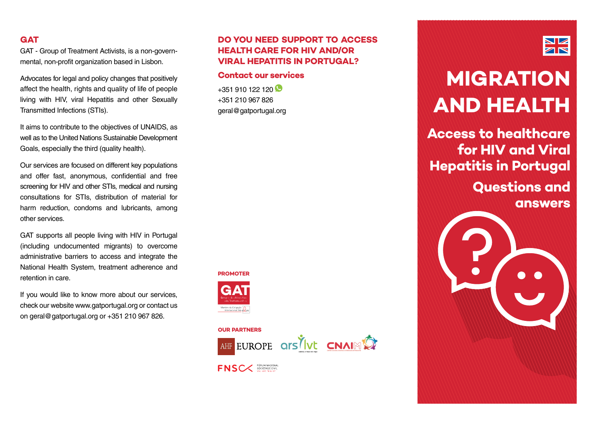#### **GAT**

GAT - Group of Treatment Activists, is a non-governmental, non-profit organization based in Lisbon.

Advocates for legal and policy changes that positively affect the health, rights and quality of life of people living with HIV, viral Hepatitis and other Sexually Transmitted Infections (STIs).

It aims to contribute to the objectives of UNAIDS, as well as to the United Nations Sustainable Development Goals, especially the third (quality health).

Our services are focused on different key populations and offer fast, anonymous, confidential and free screening for HIV and other STIs, medical and nursing consultations for STIs, distribution of material for harm reduction, condoms and lubricants, among other services.

GAT supports all people living with HIV in Portugal (including undocumented migrants) to overcome administrative barriers to access and integrate the National Health System, treatment adherence and retention in care.

If you would like to know more about our services, check our website www.gatportugal.org or contact us on geral@gatportugal.org or +351 210 967 826.

#### **DO YOU NEED SUPPORT TO ACCESS HEALTH CARE FOR HIV AND/OR VIRAL HEPATITIS IN PORTUGAL?**

#### **Contact our services**

 $+351$  910 122 120 +351 210 967 826 geral@gatportugal.org

# **PROMOTER**



#### **OUR PARTNERS**



**FNSC** FORUM NACIONAL



# $\blacksquare$ 7 N

# **Migration and health**

**Access to healthcare for HIV and Viral Hepatitis in Portugal**

> **Questions and answers**